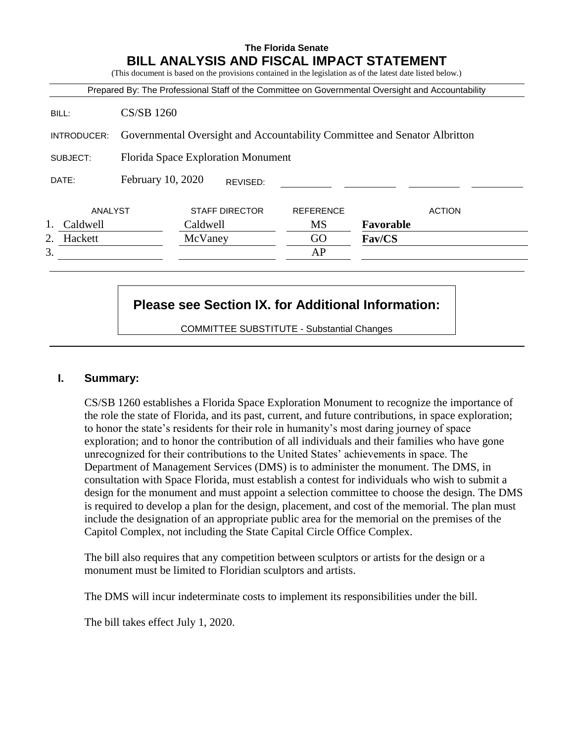## **The Florida Senate BILL ANALYSIS AND FISCAL IMPACT STATEMENT**

(This document is based on the provisions contained in the legislation as of the latest date listed below.)

|               |                                                                           |                       |          | Prepared By: The Professional Staff of the Committee on Governmental Oversight and Accountability |               |               |
|---------------|---------------------------------------------------------------------------|-----------------------|----------|---------------------------------------------------------------------------------------------------|---------------|---------------|
| BILL:         | <b>CS/SB 1260</b>                                                         |                       |          |                                                                                                   |               |               |
| INTRODUCER:   | Governmental Oversight and Accountability Committee and Senator Albritton |                       |          |                                                                                                   |               |               |
| SUBJECT:      | Florida Space Exploration Monument                                        |                       |          |                                                                                                   |               |               |
| DATE:         | February 10, 2020                                                         |                       | REVISED: |                                                                                                   |               |               |
| ANALYST       |                                                                           | <b>STAFF DIRECTOR</b> |          | <b>REFERENCE</b>                                                                                  |               | <b>ACTION</b> |
| Caldwell      |                                                                           | Caldwell              |          | MS                                                                                                | Favorable     |               |
| 2.<br>Hackett |                                                                           | McVaney               |          | GO                                                                                                | <b>Fav/CS</b> |               |
| 3.            |                                                                           |                       |          | AP                                                                                                |               |               |

# **Please see Section IX. for Additional Information:**

COMMITTEE SUBSTITUTE - Substantial Changes

#### **I. Summary:**

CS/SB 1260 establishes a Florida Space Exploration Monument to recognize the importance of the role the state of Florida, and its past, current, and future contributions, in space exploration; to honor the state's residents for their role in humanity's most daring journey of space exploration; and to honor the contribution of all individuals and their families who have gone unrecognized for their contributions to the United States' achievements in space. The Department of Management Services (DMS) is to administer the monument. The DMS, in consultation with Space Florida, must establish a contest for individuals who wish to submit a design for the monument and must appoint a selection committee to choose the design. The DMS is required to develop a plan for the design, placement, and cost of the memorial. The plan must include the designation of an appropriate public area for the memorial on the premises of the Capitol Complex, not including the State Capital Circle Office Complex.

The bill also requires that any competition between sculptors or artists for the design or a monument must be limited to Floridian sculptors and artists.

The DMS will incur indeterminate costs to implement its responsibilities under the bill.

The bill takes effect July 1, 2020.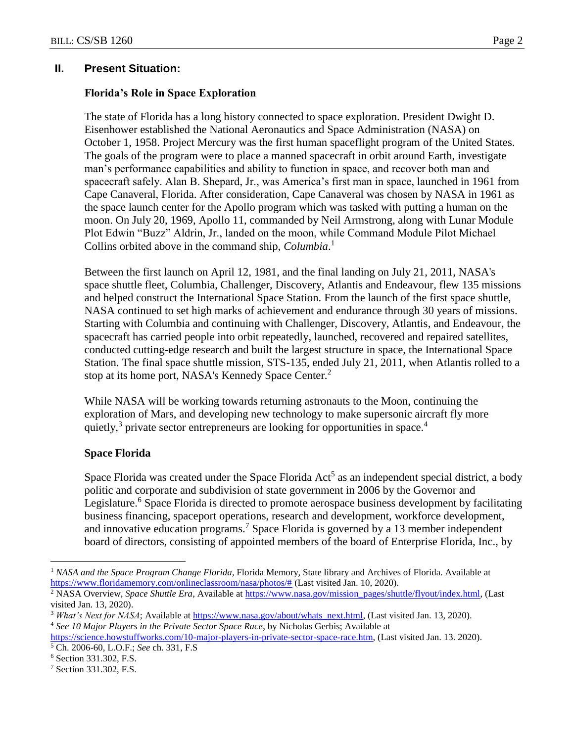## **II. Present Situation:**

#### **Florida's Role in Space Exploration**

The state of Florida has a long history connected to space exploration. President Dwight D. Eisenhower established the National Aeronautics and Space Administration (NASA) on October 1, 1958. Project Mercury was the first human spaceflight program of the United States. The goals of the program were to place a manned spacecraft in orbit around Earth, investigate man's performance capabilities and ability to function in space, and recover both man and spacecraft safely. Alan B. Shepard, Jr., was America's first man in space, launched in 1961 from Cape Canaveral, Florida. After consideration, Cape Canaveral was chosen by NASA in 1961 as the space launch center for the Apollo program which was tasked with putting a human on the moon. On July 20, 1969, Apollo 11, commanded by Neil Armstrong, along with Lunar Module Plot Edwin "Buzz" Aldrin, Jr., landed on the moon, while Command Module Pilot Michael Collins orbited above in the command ship, *Columbia*. 1

Between the first launch on April 12, 1981, and the final landing on July 21, 2011, NASA's space shuttle fleet, Columbia, Challenger, Discovery, Atlantis and Endeavour, flew 135 missions and helped construct the International Space Station. From the launch of the first space shuttle, NASA continued to set high marks of achievement and endurance through 30 years of missions. Starting with Columbia and continuing with Challenger, Discovery, Atlantis, and Endeavour, the spacecraft has carried people into orbit repeatedly, launched, recovered and repaired satellites, conducted cutting-edge research and built the largest structure in space, the International Space Station. The final space shuttle mission, STS-135, ended July 21, 2011, when Atlantis rolled to a stop at its home port, NASA's Kennedy Space Center.<sup>2</sup>

While NASA will be working towards returning astronauts to the Moon, continuing the exploration of Mars, and developing new technology to make supersonic aircraft fly more quietly,<sup>3</sup> private sector entrepreneurs are looking for opportunities in space.<sup>4</sup>

#### **Space Florida**

Space Florida was created under the Space Florida  $Act<sup>5</sup>$  as an independent special district, a body politic and corporate and subdivision of state government in 2006 by the Governor and Legislature.<sup>6</sup> Space Florida is directed to promote aerospace business development by facilitating business financing, spaceport operations, research and development, workforce development, and innovative education programs.<sup>7</sup> Space Florida is governed by a 13 member independent board of directors, consisting of appointed members of the board of Enterprise Florida, Inc., by

 $\overline{a}$ 

<sup>1</sup> *NASA and the Space Program Change Florida*, Florida Memory, State library and Archives of Florida. Available at [https://www.floridamemory.com/onlineclassroom/nasa/photos/#](https://www.floridamemory.com/onlineclassroom/nasa/photos/) (Last visited Jan. 10, 2020).

<sup>&</sup>lt;sup>2</sup> NASA Overview, *Space Shuttle Era*, Available a[t https://www.nasa.gov/mission\\_pages/shuttle/flyout/index.html,](https://www.nasa.gov/mission_pages/shuttle/flyout/index.html) (Last visited Jan. 13, 2020).

<sup>&</sup>lt;sup>3</sup> *What's Next for NASA*; Available at [https://www.nasa.gov/about/whats\\_next.html,](https://www.nasa.gov/about/whats_next.html) (Last visited Jan. 13, 2020).

<sup>4</sup> *See 10 Major Players in the Private Sector Space Race*, by Nicholas Gerbis; Available at

[https://science.howstuffworks.com/10-major-players-in-private-sector-space-race.htm,](https://science.howstuffworks.com/10-major-players-in-private-sector-space-race.htm) (Last visited Jan. 13. 2020). <sup>5</sup> Ch. 2006-60, L.O.F.; *See* ch. 331, F.S

<sup>6</sup> Section 331.302, F.S.

<sup>7</sup> Section 331.302, F.S.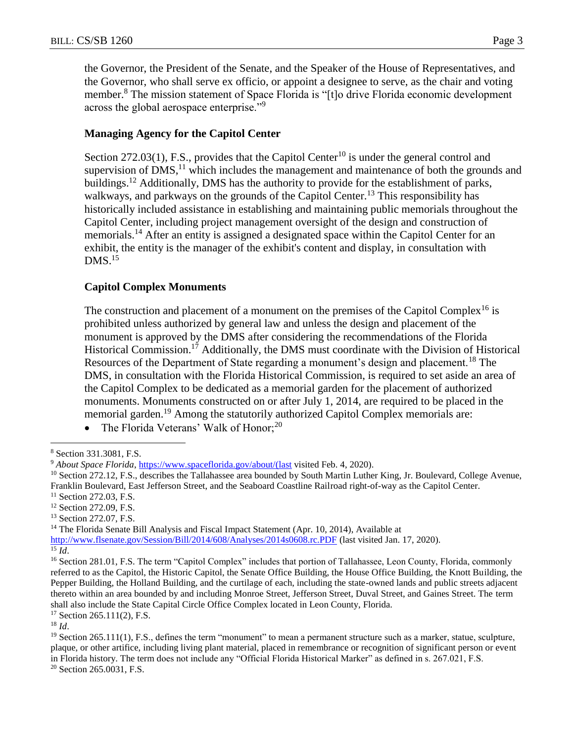the Governor, the President of the Senate, and the Speaker of the House of Representatives, and the Governor, who shall serve ex officio, or appoint a designee to serve, as the chair and voting member.<sup>8</sup> The mission statement of Space Florida is "[t]o drive Florida economic development across the global aerospace enterprise."<sup>9</sup>

#### **Managing Agency for the Capitol Center**

Section 272.03(1), F.S., provides that the Capitol Center<sup>10</sup> is under the general control and supervision of  $DMS$ ,<sup>11</sup> which includes the management and maintenance of both the grounds and buildings.<sup>12</sup> Additionally, DMS has the authority to provide for the establishment of parks, walkways, and parkways on the grounds of the Capitol Center.<sup>13</sup> This responsibility has historically included assistance in establishing and maintaining public memorials throughout the Capitol Center, including project management oversight of the design and construction of memorials.<sup>14</sup> After an entity is assigned a designated space within the Capitol Center for an exhibit, the entity is the manager of the exhibit's content and display, in consultation with  $DMS<sup>15</sup>$ 

#### **Capitol Complex Monuments**

The construction and placement of a monument on the premises of the Capitol Complex<sup>16</sup> is prohibited unless authorized by general law and unless the design and placement of the monument is approved by the DMS after considering the recommendations of the Florida Historical Commission.<sup>17</sup> Additionally, the DMS must coordinate with the Division of Historical Resources of the Department of State regarding a monument's design and placement.<sup>18</sup> The DMS, in consultation with the Florida Historical Commission, is required to set aside an area of the Capitol Complex to be dedicated as a memorial garden for the placement of authorized monuments. Monuments constructed on or after July 1, 2014, are required to be placed in the memorial garden.<sup>19</sup> Among the statutorily authorized Capitol Complex memorials are:

<sup>11</sup> Section 272.03, F.S.

<sup>13</sup> Section 272.07, F.S.

<sup>14</sup> The Florida Senate Bill Analysis and Fiscal Impact Statement (Apr. 10, 2014), Available at

<http://www.flsenate.gov/Session/Bill/2014/608/Analyses/2014s0608.rc.PDF> (last visited Jan. 17, 2020).  $\overline{15}$   $\overline{Id}$ .

 $\overline{a}$ 

<sup>16</sup> Section 281.01, F.S. The term "Capitol Complex" includes that portion of Tallahassee, Leon County, Florida, commonly referred to as the Capitol, the Historic Capitol, the Senate Office Building, the House Office Building, the Knott Building, the Pepper Building, the Holland Building, and the curtilage of each, including the state-owned lands and public streets adjacent thereto within an area bounded by and including Monroe Street, Jefferson Street, Duval Street, and Gaines Street. The term shall also include the State Capital Circle Office Complex located in Leon County, Florida.

<sup>17</sup> Section 265.111(2), F.S.

<sup>18</sup> *Id*.

<sup>19</sup> Section 265.111(1), F.S., defines the term "monument" to mean a permanent structure such as a marker, statue, sculpture, plaque, or other artifice, including living plant material, placed in remembrance or recognition of significant person or event in Florida history. The term does not include any "Official Florida Historical Marker" as defined in s. 267.021, F.S.

<sup>20</sup> Section 265.0031, F.S.

The Florida Veterans' Walk of Honor;<sup>20</sup>

<sup>8</sup> Section 331.3081, F.S.

<sup>9</sup> *About Space Florida*, [https://www.spaceflorida.gov/about/\(last](https://www.spaceflorida.gov/about/(last) visited Feb. 4, 2020).

<sup>&</sup>lt;sup>10</sup> Section 272.12, F.S., describes the Tallahassee area bounded by South Martin Luther King, Jr. Boulevard, College Avenue, Franklin Boulevard, East Jefferson Street, and the Seaboard Coastline Railroad right-of-way as the Capitol Center.

<sup>&</sup>lt;sup>12</sup> Section 272.09, F.S.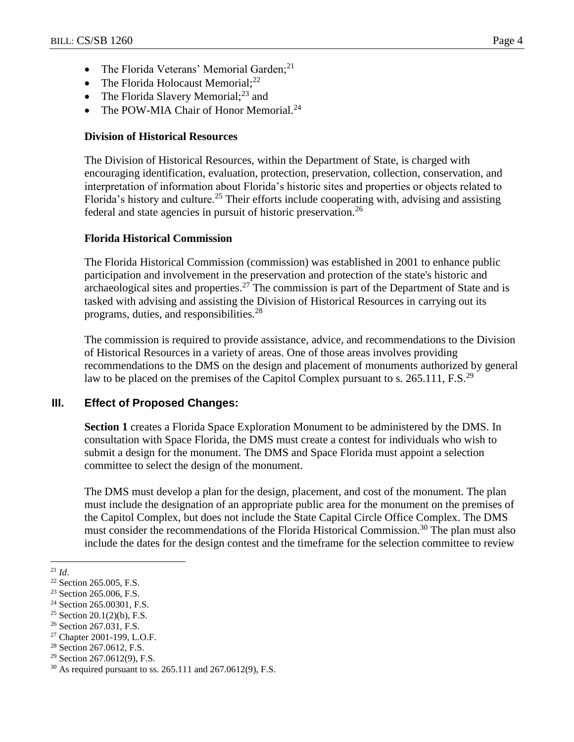- The Florida Veterans' Memorial Garden;<sup>21</sup>
- The Florida Holocaust Memorial; $^{22}$
- The Florida Slavery Memorial; $^{23}$  and
- The POW-MIA Chair of Honor Memorial.<sup>24</sup>

#### **Division of Historical Resources**

The Division of Historical Resources, within the Department of State, is charged with encouraging identification, evaluation, protection, preservation, collection, conservation, and interpretation of information about Florida's historic sites and properties or objects related to Florida's history and culture.<sup>25</sup> Their efforts include cooperating with, advising and assisting federal and state agencies in pursuit of historic preservation.<sup>26</sup>

#### **Florida Historical Commission**

The Florida Historical Commission (commission) was established in 2001 to enhance public participation and involvement in the preservation and protection of the state's historic and archaeological sites and properties.<sup>27</sup> The commission is part of the Department of State and is tasked with advising and assisting the Division of Historical Resources in carrying out its programs, duties, and responsibilities.<sup>28</sup>

The commission is required to provide assistance, advice, and recommendations to the Division of Historical Resources in a variety of areas. One of those areas involves providing recommendations to the DMS on the design and placement of monuments authorized by general law to be placed on the premises of the Capitol Complex pursuant to s. 265.111, F.S.<sup>29</sup>

## **III. Effect of Proposed Changes:**

**Section 1** creates a Florida Space Exploration Monument to be administered by the DMS. In consultation with Space Florida, the DMS must create a contest for individuals who wish to submit a design for the monument. The DMS and Space Florida must appoint a selection committee to select the design of the monument.

The DMS must develop a plan for the design, placement, and cost of the monument. The plan must include the designation of an appropriate public area for the monument on the premises of the Capitol Complex, but does not include the State Capital Circle Office Complex. The DMS must consider the recommendations of the Florida Historical Commission.<sup>30</sup> The plan must also include the dates for the design contest and the timeframe for the selection committee to review

<sup>26</sup> Section 267.031, F.S.

 $\overline{a}$  $^{21}$  *Id.* 

<sup>&</sup>lt;sup>22</sup> Section 265.005, F.S.

<sup>23</sup> Section 265.006, F.S.

<sup>&</sup>lt;sup>24</sup> Section 265.00301, F.S.

<sup>&</sup>lt;sup>25</sup> Section 20.1(2)(b), F.S.

<sup>27</sup> Chapter 2001-199, L.O.F.

<sup>28</sup> Section 267.0612, F.S.

<sup>29</sup> Section 267.0612(9), F.S.

<sup>30</sup> As required pursuant to ss. 265.111 and 267.0612(9), F.S.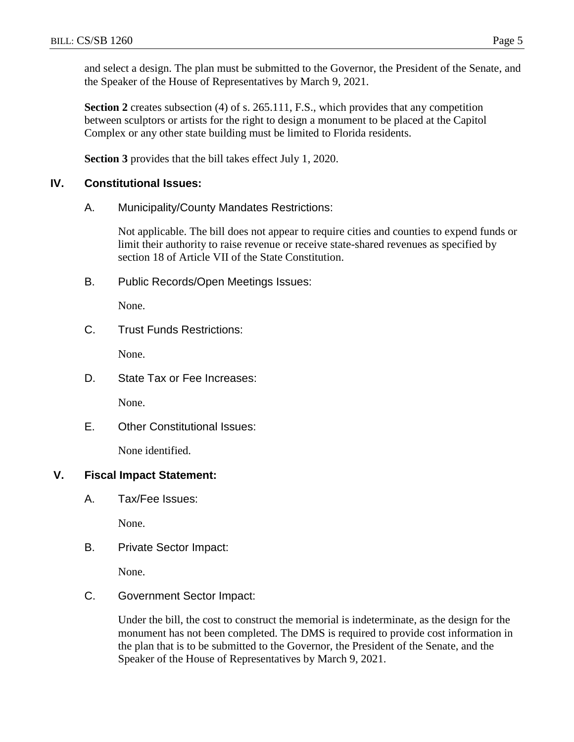and select a design. The plan must be submitted to the Governor, the President of the Senate, and the Speaker of the House of Representatives by March 9, 2021.

**Section 2** creates subsection (4) of s. 265.111, F.S., which provides that any competition between sculptors or artists for the right to design a monument to be placed at the Capitol Complex or any other state building must be limited to Florida residents.

**Section 3** provides that the bill takes effect July 1, 2020.

#### **IV. Constitutional Issues:**

A. Municipality/County Mandates Restrictions:

Not applicable. The bill does not appear to require cities and counties to expend funds or limit their authority to raise revenue or receive state-shared revenues as specified by section 18 of Article VII of the State Constitution.

B. Public Records/Open Meetings Issues:

None.

C. Trust Funds Restrictions:

None.

D. State Tax or Fee Increases:

None.

E. Other Constitutional Issues:

None identified.

## **V. Fiscal Impact Statement:**

A. Tax/Fee Issues:

None.

B. Private Sector Impact:

None.

C. Government Sector Impact:

Under the bill, the cost to construct the memorial is indeterminate, as the design for the monument has not been completed. The DMS is required to provide cost information in the plan that is to be submitted to the Governor, the President of the Senate, and the Speaker of the House of Representatives by March 9, 2021.